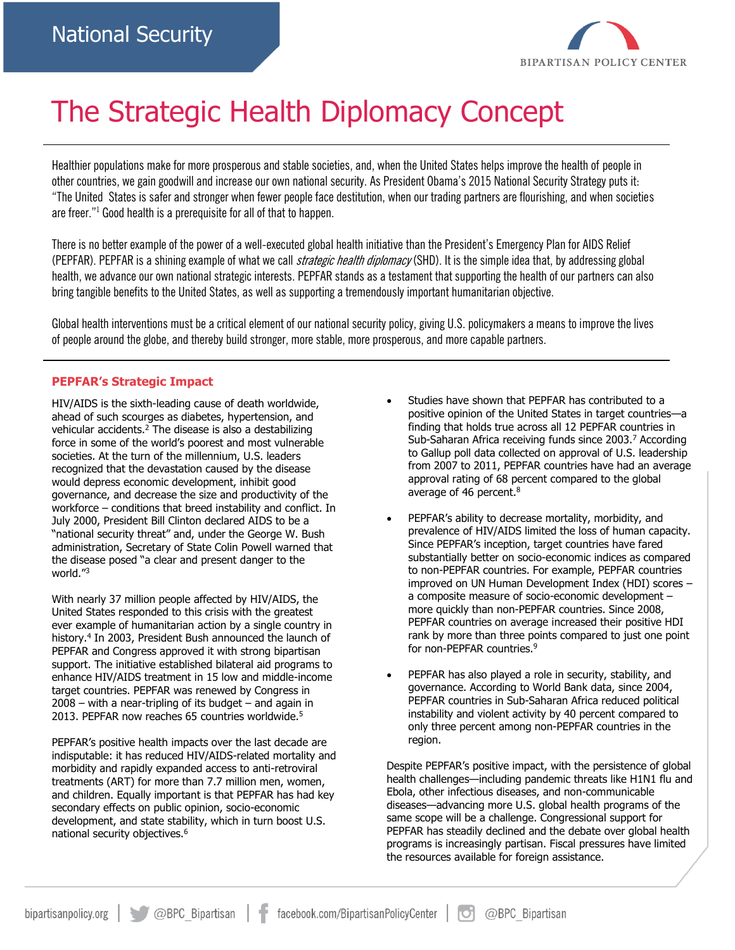

# The Strategic Health Diplomacy Concept

Healthier populations make for more prosperous and stable societies, and, when the United States helps improve the health of people in other countries, we gain goodwill and increase our own national security. As President Obama's 2015 National Security Strategy puts it: "The United States is safer and stronger when fewer people face destitution, when our trading partners are flourishing, and when societies are freer."<sup>1</sup> Good health is a prerequisite for all of that to happen.

There is no better example of the power of a well-executed global health initiative than the President's Emergency Plan for AIDS Relief (PEPFAR). PEPFAR is a shining example of what we call *strategic health diplomacy* (SHD). It is the simple idea that, by addressing global health, we advance our own national strategic interests. PEPFAR stands as a testament that supporting the health of our partners can also bring tangible benefits to the United States, as well as supporting a tremendously important humanitarian objective.

Global health interventions must be a critical element of our national security policy, giving U.S. policymakers a means to improve the lives of people around the globe, and thereby build stronger, more stable, more prosperous, and more capable partners.

## **PEPFAR's Strategic Impact**

HIV/AIDS is the sixth-leading cause of death worldwide, ahead of such scourges as diabetes, hypertension, and vehicular accidents.<sup>2</sup> The disease is also a destabilizing force in some of the world's poorest and most vulnerable societies. At the turn of the millennium, U.S. leaders recognized that the devastation caused by the disease would depress economic development, inhibit good governance, and decrease the size and productivity of the workforce – conditions that breed instability and conflict. In July 2000, President Bill Clinton declared AIDS to be a "national security threat" and, under the George W. Bush administration, Secretary of State Colin Powell warned that the disease posed "a clear and present danger to the world."<sup>3</sup>

With nearly 37 million people affected by HIV/AIDS, the United States responded to this crisis with the greatest ever example of humanitarian action by a single country in history.<sup>4</sup> In 2003, President Bush announced the launch of PEPFAR and Congress approved it with strong bipartisan support. The initiative established bilateral aid programs to enhance HIV/AIDS treatment in 15 low and middle-income target countries. PEPFAR was renewed by Congress in  $2008$  – with a near-tripling of its budget – and again in 2013. PEPFAR now reaches 65 countries worldwide.<sup>5</sup>

PEPFAR's positive health impacts over the last decade are indisputable: it has reduced HIV/AIDS-related mortality and morbidity and rapidly expanded access to anti-retroviral treatments (ART) for more than 7.7 million men, women, and children. Equally important is that PEPFAR has had key secondary effects on public opinion, socio-economic development, and state stability, which in turn boost U.S. national security objectives.<sup>6</sup>

- Studies have shown that PEPFAR has contributed to a positive opinion of the United States in target countries—a finding that holds true across all 12 PEPFAR countries in Sub-Saharan Africa receiving funds since 2003.<sup>7</sup> According to Gallup poll data collected on approval of U.S. leadership from 2007 to 2011, PEPFAR countries have had an average approval rating of 68 percent compared to the global average of 46 percent.<sup>8</sup>
- PEPFAR's ability to decrease mortality, morbidity, and prevalence of HIV/AIDS limited the loss of human capacity. Since PEPFAR's inception, target countries have fared substantially better on socio-economic indices as compared to non-PEPFAR countries. For example, PEPFAR countries improved on UN Human Development Index (HDI) scores – a composite measure of socio-economic development – more quickly than non-PEPFAR countries. Since 2008, PEPFAR countries on average increased their positive HDI rank by more than three points compared to just one point for non-PEPFAR countries.<sup>9</sup>
- PEPFAR has also played a role in security, stability, and governance. According to World Bank data, since 2004, PEPFAR countries in Sub-Saharan Africa reduced political instability and violent activity by 40 percent compared to only three percent among non-PEPFAR countries in the region.

Despite PEPFAR's positive impact, with the persistence of global health challenges—including pandemic threats like H1N1 flu and Ebola, other infectious diseases, and non-communicable diseases—advancing more U.S. global health programs of the same scope will be a challenge. Congressional support for PEPFAR has steadily declined and the debate over global health programs is increasingly partisan. Fiscal pressures have limited the resources available for foreign assistance.